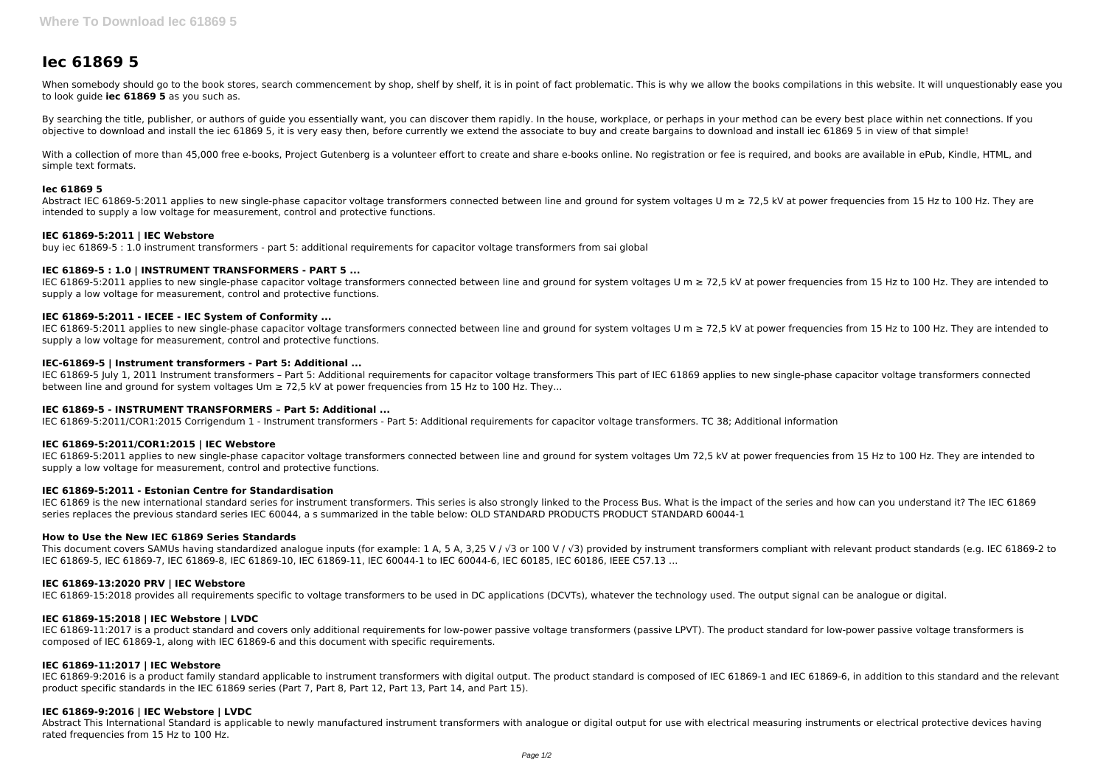# **Iec 61869 5**

When somebody should go to the book stores, search commencement by shop, shelf by shelf, it is in point of fact problematic. This is why we allow the books compilations in this website. It will unquestionably ease you to look guide **iec 61869 5** as you such as.

By searching the title, publisher, or authors of quide you essentially want, you can discover them rapidly. In the house, workplace, or perhaps in your method can be every best place within net connections. If you objective to download and install the iec 61869 5, it is very easy then, before currently we extend the associate to buy and create bargains to download and install iec 61869 5 in view of that simple!

With a collection of more than 45,000 free e-books, Project Gutenberg is a volunteer effort to create and share e-books online. No registration or fee is required, and books are available in ePub, Kindle, HTML, and simple text formats.

Abstract IEC 61869-5:2011 applies to new single-phase capacitor voltage transformers connected between line and ground for system voltages U m ≥ 72.5 kV at power frequencies from 15 Hz to 100 Hz. They are intended to supply a low voltage for measurement, control and protective functions.

IEC 61869-5:2011 applies to new single-phase capacitor voltage transformers connected between line and ground for system voltages U m ≥ 72,5 kV at power frequencies from 15 Hz to 100 Hz. They are intended to supply a low voltage for measurement, control and protective functions.

#### **Iec 61869 5**

IEC 61869-5:2011 applies to new single-phase capacitor voltage transformers connected between line and ground for system voltages U m  $\geq$  72,5 kV at power frequencies from 15 Hz to 100 Hz. They are intended to supply a low voltage for measurement, control and protective functions.

# **IEC 61869-5:2011 | IEC Webstore**

buy iec 61869-5 : 1.0 instrument transformers - part 5: additional requirements for capacitor voltage transformers from sai global

# **IEC 61869-5 : 1.0 | INSTRUMENT TRANSFORMERS - PART 5 ...**

IEC 61869 is the new international standard series for instrument transformers. This series is also strongly linked to the Process Bus. What is the impact of the series and how can you understand it? The IEC 61869 series replaces the previous standard series IEC 60044, a s summarized in the table below: OLD STANDARD PRODUCTS PRODUCT STANDARD 60044-1

# **IEC 61869-5:2011 - IECEE - IEC System of Conformity ...**

This document covers SAMUs having standardized analogue inputs (for example: 1 A, 5 A, 3,25 V / √3 or 100 V / √3) provided by instrument transformers compliant with relevant product standards (e.g. IEC 61869-2 to IEC 61869-5, IEC 61869-7, IEC 61869-8, IEC 61869-10, IEC 61869-11, IEC 60044-1 to IEC 60044-6, IEC 60185, IEC 60186, IEEE C57.13 ...

# **IEC-61869-5 | Instrument transformers - Part 5: Additional ...**

IEC 61869-5 July 1, 2011 Instrument transformers – Part 5: Additional requirements for capacitor voltage transformers This part of IEC 61869 applies to new single-phase capacitor voltage transformers connected between line and ground for system voltages Um ≥ 72,5 kV at power frequencies from 15 Hz to 100 Hz. They...

IEC 61869-9:2016 is a product family standard applicable to instrument transformers with digital output. The product standard is composed of IEC 61869-1 and IEC 61869-6, in addition to this standard and the relevant product specific standards in the IEC 61869 series (Part 7, Part 8, Part 12, Part 13, Part 14, and Part 15).

#### **IEC 61869-5 - INSTRUMENT TRANSFORMERS – Part 5: Additional ...**

Abstract This International Standard is applicable to newly manufactured instrument transformers with analogue or digital output for use with electrical measuring instruments or electrical protective devices having rated frequencies from 15 Hz to 100 Hz.

IEC 61869-5:2011/COR1:2015 Corrigendum 1 - Instrument transformers - Part 5: Additional requirements for capacitor voltage transformers. TC 38; Additional information

#### **IEC 61869-5:2011/COR1:2015 | IEC Webstore**

IEC 61869-5:2011 applies to new single-phase capacitor voltage transformers connected between line and ground for system voltages Um 72,5 kV at power frequencies from 15 Hz to 100 Hz. They are intended to supply a low voltage for measurement, control and protective functions.

#### **IEC 61869-5:2011 - Estonian Centre for Standardisation**

#### **How to Use the New IEC 61869 Series Standards**

#### **IEC 61869-13:2020 PRV | IEC Webstore**

IEC 61869-15:2018 provides all requirements specific to voltage transformers to be used in DC applications (DCVTs), whatever the technology used. The output signal can be analogue or digital.

#### **IEC 61869-15:2018 | IEC Webstore | LVDC**

IEC 61869-11:2017 is a product standard and covers only additional requirements for low-power passive voltage transformers (passive LPVT). The product standard for low-power passive voltage transformers is composed of IEC 61869-1, along with IEC 61869-6 and this document with specific requirements.

# **IEC 61869-11:2017 | IEC Webstore**

#### **IEC 61869-9:2016 | IEC Webstore | LVDC**